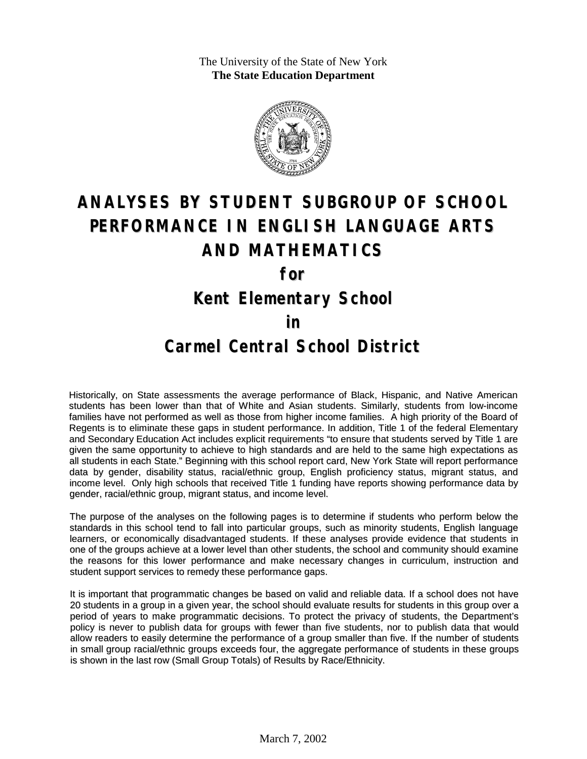The University of the State of New York **The State Education Department**



# **ANALYSES BY STUDENT SUBGROUP OF SCHOOL PERFORMANCE IN ENGLISH LANGUAGE ARTS AND MATHEMATICS**

**for**

**Kent Elementary School**

#### **in**

### **Carmel Central School District**

Historically, on State assessments the average performance of Black, Hispanic, and Native American students has been lower than that of White and Asian students. Similarly, students from low-income families have not performed as well as those from higher income families. A high priority of the Board of Regents is to eliminate these gaps in student performance. In addition, Title 1 of the federal Elementary and Secondary Education Act includes explicit requirements "to ensure that students served by Title 1 are given the same opportunity to achieve to high standards and are held to the same high expectations as all students in each State." Beginning with this school report card, New York State will report performance data by gender, disability status, racial/ethnic group, English proficiency status, migrant status, and income level. Only high schools that received Title 1 funding have reports showing performance data by gender, racial/ethnic group, migrant status, and income level.

The purpose of the analyses on the following pages is to determine if students who perform below the standards in this school tend to fall into particular groups, such as minority students, English language learners, or economically disadvantaged students. If these analyses provide evidence that students in one of the groups achieve at a lower level than other students, the school and community should examine the reasons for this lower performance and make necessary changes in curriculum, instruction and student support services to remedy these performance gaps.

It is important that programmatic changes be based on valid and reliable data. If a school does not have 20 students in a group in a given year, the school should evaluate results for students in this group over a period of years to make programmatic decisions. To protect the privacy of students, the Department's policy is never to publish data for groups with fewer than five students, nor to publish data that would allow readers to easily determine the performance of a group smaller than five. If the number of students in small group racial/ethnic groups exceeds four, the aggregate performance of students in these groups is shown in the last row (Small Group Totals) of Results by Race/Ethnicity.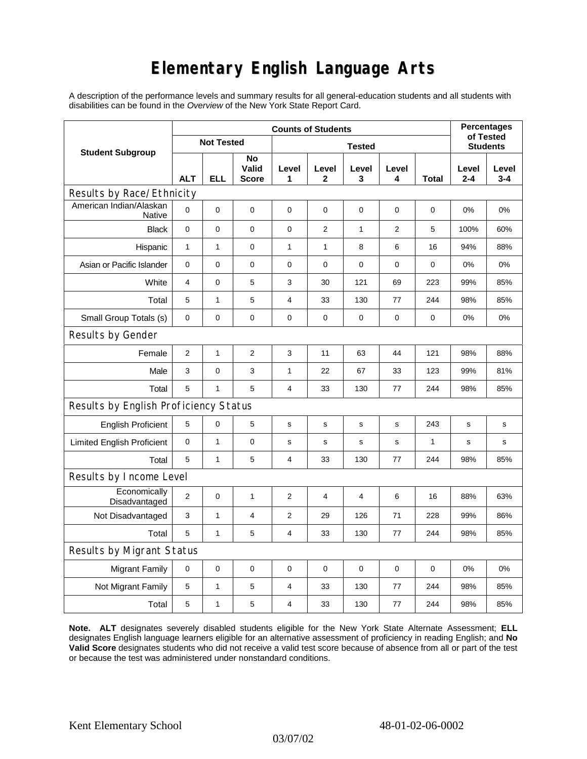## **Elementary English Language Arts**

A description of the performance levels and summary results for all general-education students and all students with disabilities can be found in the *Overview* of the New York State Report Card.

| <b>Student Subgroup</b>                  | <b>Counts of Students</b> |              |                             |                |              |                |            |              | <b>Percentages</b>           |                  |
|------------------------------------------|---------------------------|--------------|-----------------------------|----------------|--------------|----------------|------------|--------------|------------------------------|------------------|
|                                          | <b>Not Tested</b>         |              |                             | <b>Tested</b>  |              |                |            |              | of Tested<br><b>Students</b> |                  |
|                                          | <b>ALT</b>                | <b>ELL</b>   | No<br>Valid<br><b>Score</b> | Level<br>1     | Level<br>2   | Level<br>3     | Level<br>4 | Total        | Level<br>$2 - 4$             | Level<br>$3 - 4$ |
| Results by Race/Ethnicity                |                           |              |                             |                |              |                |            |              |                              |                  |
| American Indian/Alaskan<br><b>Native</b> | $\mathbf 0$               | 0            | $\pmb{0}$                   | $\pmb{0}$      | 0            | 0              | 0          | 0            | 0%                           | 0%               |
| <b>Black</b>                             | 0                         | 0            | 0                           | 0              | 2            | $\mathbf{1}$   | 2          | 5            | 100%                         | 60%              |
| Hispanic                                 | $\mathbf{1}$              | $\mathbf{1}$ | $\pmb{0}$                   | $\mathbf{1}$   | 1            | 8              | 6          | 16           | 94%                          | 88%              |
| Asian or Pacific Islander                | 0                         | 0            | 0                           | 0              | 0            | 0              | 0          | 0            | 0%                           | 0%               |
| White                                    | $\overline{4}$            | 0            | 5                           | 3              | 30           | 121            | 69         | 223          | 99%                          | 85%              |
| Total                                    | 5                         | $\mathbf{1}$ | $\mathbf 5$                 | 4              | 33           | 130            | 77         | 244          | 98%                          | 85%              |
| Small Group Totals (s)                   | 0                         | 0            | 0                           | 0              | 0            | 0              | 0          | 0            | 0%                           | 0%               |
| Results by Gender                        |                           |              |                             |                |              |                |            |              |                              |                  |
| Female                                   | $\mathbf{2}$              | $\mathbf{1}$ | $\overline{c}$              | 3              | 11           | 63             | 44         | 121          | 98%                          | 88%              |
| Male                                     | 3                         | 0            | 3                           | 1              | 22           | 67             | 33         | 123          | 99%                          | 81%              |
| Total                                    | 5                         | 1            | 5                           | 4              | 33           | 130            | 77         | 244          | 98%                          | 85%              |
| Results by English Proficiency Status    |                           |              |                             |                |              |                |            |              |                              |                  |
| <b>English Proficient</b>                | 5                         | 0            | $\mathbf 5$                 | s              | $\mathsf{s}$ | $\mathbf S$    | s          | 243          | $\mathbf S$                  | s                |
| <b>Limited English Proficient</b>        | $\mathbf 0$               | $\mathbf{1}$ | $\pmb{0}$                   | s              | s            | s              | s          | $\mathbf{1}$ | $\mathbf s$                  | s                |
| Total                                    | 5                         | $\mathbf{1}$ | 5                           | 4              | 33           | 130            | 77         | 244          | 98%                          | 85%              |
| Results by Income Level                  |                           |              |                             |                |              |                |            |              |                              |                  |
| Economically<br>Disadvantaged            | 2                         | 0            | $\mathbf{1}$                | 2              | 4            | $\overline{4}$ | 6          | 16           | 88%                          | 63%              |
| Not Disadvantaged                        | 3                         | 1            | $\overline{4}$              | $\overline{2}$ | 29           | 126            | 71         | 228          | 99%                          | 86%              |
| Total                                    | 5                         | $\mathbf{1}$ | 5                           | 4              | 33           | 130            | 77         | 244          | 98%                          | 85%              |
| Results by Migrant Status                |                           |              |                             |                |              |                |            |              |                              |                  |
| <b>Migrant Family</b>                    | 0                         | 0            | $\mathbf 0$                 | 0              | 0            | $\mathbf 0$    | 0          | 0            | 0%                           | 0%               |
| Not Migrant Family                       | 5                         | $\mathbf{1}$ | 5                           | 4              | 33           | 130            | 77         | 244          | 98%                          | 85%              |
| Total                                    | $\mathbf 5$               | $\mathbf 1$  | 5                           | 4              | 33           | 130            | 77         | 244          | 98%                          | 85%              |

**Note. ALT** designates severely disabled students eligible for the New York State Alternate Assessment; **ELL** designates English language learners eligible for an alternative assessment of proficiency in reading English; and **No Valid Score** designates students who did not receive a valid test score because of absence from all or part of the test or because the test was administered under nonstandard conditions.